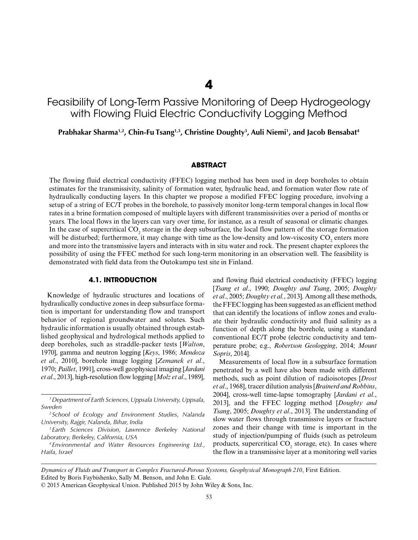# Feasibility of Long‐Term Passive Monitoring of Deep Hydrogeology with Flowing Fluid Electric Conductivity Logging Method

Prabhakar Sharma<sup>1,2</sup>, Chin-Fu Tsang<sup>1,3</sup>, Christine Doughty<sup>3</sup>, Auli Niemi<sup>1</sup>, and Jacob Bensabat<sup>4</sup>

## **Abstract**

The flowing fluid electrical conductivity (FFEC) logging method has been used in deep boreholes to obtain estimates for the transmissivity, salinity of formation water, hydraulic head, and formation water flow rate of hydraulically conducting layers. In this chapter we propose a modified FFEC logging procedure, involving a setup of a string of EC/T probes in the borehole, to passively monitor long-term temporal changes in local flow rates in a brine formation composed of multiple layers with different transmissivities over a period of months or years. The local flows in the layers can vary over time, for instance, as a result of seasonal or climatic changes. In the case of supercritical  $CO_2$  storage in the deep subsurface, the local flow pattern of the storage formation will be disturbed; furthermore, it may change with time as the low-density and low-viscosity  $CO_2$  enters more and more into the transmissive layers and interacts with in situ water and rock. The present chapter explores the possibility of using the FFEC method for such long‐term monitoring in an observation well. The feasibility is demonstrated with field data from the Outokumpu test site in Finland.

# **4.1. Introduction**

Knowledge of hydraulic structures and locations of hydraulically conductive zones in deep subsurface formation is important for understanding flow and transport behavior of regional groundwater and solutes. Such hydraulic information is usually obtained through established geophysical and hydrological methods applied to deep boreholes, such as straddle‐packer tests [*Walton*, 1970], gamma and neutron logging [*Keys*, 1986; *Mendoza et al*., 2010], borehole image logging [*Zemanek et al*., 1970; *Paillet*, 1991], cross‐well geophysical imaging [*Jardani et al*., 2013], high‐resolution flow logging [*Molz et al*., 1989],

and flowing fluid electrical conductivity (FFEC) logging [*Tsang et al*., 1990; *Doughty and Tsang*, 2005; *Doughty et al*., 2005; *Doughty et al.*, 2013]. Among all these methods, the FFEC logging has been suggested as an efficient method that can identify the locations of inflow zones and evaluate their hydraulic conductivity and fluid salinity as a function of depth along the borehole, using a standard conventional EC/T probe (electric conductivity and temperature probe; e.g., *Robertson Geologging*, 2014; *Mount Sopris*, 2014].

Measurements of local flow in a subsurface formation penetrated by a well have also been made with different methods, such as point dilution of radioisotopes [*Drost et al*., 1968], tracer dilution analysis [*Brainerd and Robbins*, 2004], cross‐well time‐lapse tomography [*Jardani et al*., 2013], and the FFEC logging method [*Doughty and Tsang*, 2005; *Doughty et al*., 2013]. The understanding of slow water flows through transmissive layers or fracture zones and their change with time is important in the study of injection/pumping of fluids (such as petroleum products, supercritical  $CO_2$  storage, etc). In cases where the flow in a transmissive layer at a monitoring well varies

*<sup>1</sup>Department of Earth Sciences, Uppsala University, Uppsala, Sweden*

*<sup>2</sup> School of Ecology and Environment Studies, Nalanda University, Rajgir, Nalanda, Bihar, India*

*<sup>3</sup> Earth Sciences Division, Lawrence Berkeley National Laboratory, Berkeley, California, USA*

*<sup>4</sup> Environmental and Water Resources Engineering Ltd., Haifa, Israel*

*Dynamics of Fluids and Transport in Complex Fractured-Porous Systems, Geophysical Monograph 210*, First Edition. Edited by Boris Faybishenko, Sally M. Benson, and John E. Gale.

<sup>© 2015</sup> American Geophysical Union. Published 2015 by John Wiley & Sons, Inc.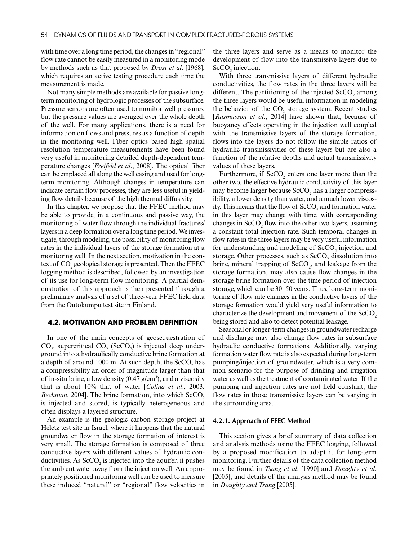with time over a long time period, the changes in "regional" flow rate cannot be easily measured in a monitoring mode by methods such as that proposed by *Drost et al*. [1968], which requires an active testing procedure each time the measurement is made.

Not many simple methods are available for passive long‐ term monitoring of hydrologic processes of the subsurface. Pressure sensors are often used to monitor well pressures, but the pressure values are averaged over the whole depth of the well. For many applications, there is a need for information on flows and pressures as a function of depth in the monitoring well. Fiber optics–based high–spatial resolution temperature measurements have been found very useful in monitoring detailed depth‐dependent temperature changes [*Freifeld et al*., 2008]. The optical fiber can be emplaced all along the well casing and used for longterm monitoring. Although changes in temperature can indicate certain flow processes, they are less useful in yielding flow details because of the high thermal diffusivity.

In this chapter, we propose that the FFEC method may be able to provide, in a continuous and passive way, the monitoring of water flow through the individual fractures/ layers in a deep formation over a long time period. We investigate, through modeling, the possibility of monitoring flow rates in the individual layers of the storage formation at a monitoring well. In the next section, motivation in the context of  $\mathrm{CO}_2$  geological storage is presented. Then the FFEC logging method is described, followed by an investigation of its use for long‐term flow monitoring. A partial demonstration of this approach is then presented through a preliminary analysis of a set of three‐year FFEC field data from the Outokumpu test site in Finland.

## **4.2. Motivation and Problem Definition**

In one of the main concepts of geosequestration of  $CO<sub>2</sub>$ , supercritical  $CO<sub>2</sub>$  (ScCO<sub>2</sub>) is injected deep underground into a hydraulically conductive brine formation at a depth of around 1000 m. At such depth, the  $\mathrm{ScCO}_2$  has a compressibility an order of magnitude larger than that of in-situ brine, a low density  $(0.47 \text{ g/cm}^3)$ , and a viscosity that is about 10% that of water [*Colina et al*., 2003; *Beckman*, 2004]. The brine formation, into which ScCO<sub>2</sub> is injected and stored, is typically heterogeneous and often displays a layered structure.

An example is the geologic carbon storage project at Heletz test site in Israel, where it happens that the natural groundwater flow in the storage formation of interest is very small. The storage formation is composed of three conductive layers with different values of hydraulic conductivities. As  $SCO<sub>2</sub>$  is injected into the aquifer, it pushes the ambient water away from the injection well. An appropriately positioned monitoring well can be used to measure these induced "natural" or "regional" flow velocities in

the three layers and serve as a means to monitor the development of flow into the transmissive layers due to  $\text{ScCO}_2$  injection.

With three transmissive layers of different hydraulic conductivities, the flow rates in the three layers will be different. The partitioning of the injected  $SCO_2$  among the three layers would be useful information in modeling the behavior of the  $CO_2$  storage system. Recent studies [*Rasmusson et al*., 2014] have shown that, because of buoyancy effects operating in the injection well coupled with the transmissive layers of the storage formation, flows into the layers do not follow the simple ratios of hydraulic transmissivities of these layers but are also a function of the relative depths and actual transmissivity values of these layers.

Furthermore, if  $SCO<sub>2</sub>$  enters one layer more than the other two, the effective hydraulic conductivity of this layer may become larger because  $\mathrm{S}\mathrm{c}\mathrm{CO}_2$  has a larger compressibility, a lower density than water, and a much lower viscosity. This means that the flow of  $\mathrm{S}\mathrm{C}\mathrm{O}_2$  and formation water in this layer may change with time, with corresponding changes in  $SCO<sub>2</sub>$  flow into the other two layers, assuming a constant total injection rate. Such temporal changes in flow rates in the three layers may be very useful information for understanding and modeling of  $SCO<sub>2</sub>$  injection and storage. Other processes, such as  $\mathrm{S}\mathrm{c}\mathrm{CO}_2$  dissolution into brine, mineral trapping of  $SCO<sub>2</sub>$ , and leakage from the storage formation, may also cause flow changes in the storage brine formation over the time period of injection storage, which can be 30–50 years. Thus, long‐term monitoring of flow rate changes in the conductive layers of the storage formation would yield very useful information to characterize the development and movement of the  $ScCO<sub>2</sub>$ being stored and also to detect potential leakage.

Seasonal or longer‐term changes in groundwater recharge and discharge may also change flow rates in subsurface hydraulic conductive formations. Additionally, varying formation water flow rate is also expected during long‐term pumping/injection of groundwater, which is a very common scenario for the purpose of drinking and irrigation water as well as the treatment of contaminated water. If the pumping and injection rates are not held constant, the flow rates in those transmissive layers can be varying in the surrounding area.

## **4.2.1. Approach of FFEC Method**

This section gives a brief summary of data collection and analysis methods using the FFEC logging, followed by a proposed modification to adapt it for long‐term monitoring. Further details of the data collection method may be found in *Tsang et al*. [1990] and *Doughty et al*. [2005], and details of the analysis method may be found in *Doughty and Tsang* [2005].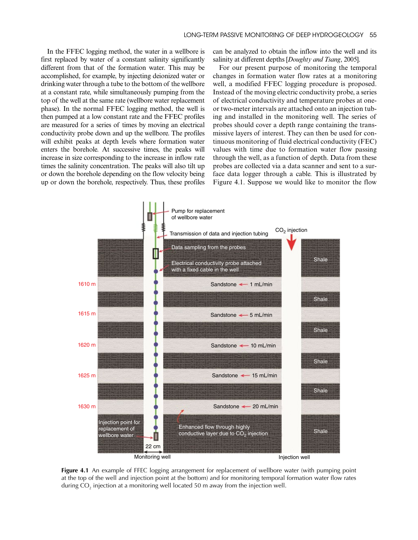In the FFEC logging method, the water in a wellbore is first replaced by water of a constant salinity significantly different from that of the formation water. This may be accomplished, for example, by injecting deionized water or drinking water through a tube to the bottom of the wellbore at a constant rate, while simultaneously pumping from the top of the well at the same rate (wellbore water replacement phase). In the normal FFEC logging method, the well is then pumped at a low constant rate and the FFEC profiles are measured for a series of times by moving an electrical conductivity probe down and up the wellbore. The profiles will exhibit peaks at depth levels where formation water enters the borehole. At successive times, the peaks will increase in size corresponding to the increase in inflow rate times the salinity concentration. The peaks will also tilt up or down the borehole depending on the flow velocity being up or down the borehole, respectively. Thus, these profiles can be analyzed to obtain the inflow into the well and its salinity at different depths [*Doughty and Tsang*, 2005].

For our present purpose of monitoring the temporal changes in formation water flow rates at a monitoring well, a modified FFEC logging procedure is proposed. Instead of the moving electric conductivity probe, a series of electrical conductivity and temperature probes at one‐ or two‐meter intervals are attached onto an injection tubing and installed in the monitoring well. The series of probes should cover a depth range containing the transmissive layers of interest. They can then be used for continuous monitoring of fluid electrical conductivity (FEC) values with time due to formation water flow passing through the well, as a function of depth. Data from these probes are collected via a data scanner and sent to a surface data logger through a cable. This is illustrated by Figure 4.1. Suppose we would like to monitor the flow



Figure 4.1 An example of FFEC logging arrangement for replacement of wellbore water (with pumping point at the top of the well and injection point at the bottom) and for monitoring temporal formation water flow rates during CO $_2$  injection at a monitoring well located 50 m away from the injection well.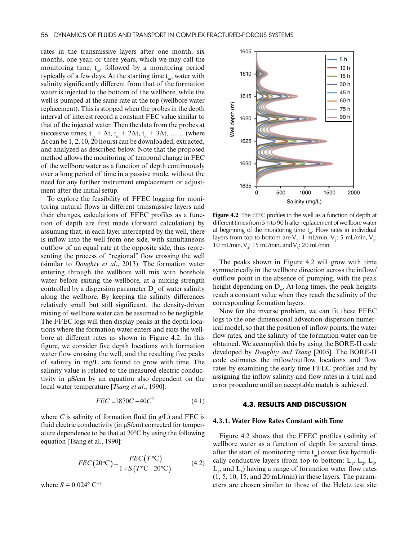rates in the transmissive layers after one month, six months, one year, or three years, which we may call the monitoring time,  $t_m$ , followed by a monitoring period typically of a few days. At the starting time  $t_m$ , water with salinity significantly different from that of the formation water is injected to the bottom of the wellbore, while the well is pumped at the same rate at the top (wellbore water replacement). This is stopped when the probes in the depth interval of interest record a constant FEC value similar to that of the injected water. Then the data from the probes at successive times,  $t_m + \Delta t$ ,  $t_m + 2\Delta t$ ,  $t_m + 3\Delta t$ , …… (where ∆t can be 1, 2, 10, 20 hours) can be downloaded, extracted, and analyzed as described below. Note that the proposed method allows the monitoring of temporal change in FEC of the wellbore water as a function of depth continuously over a long period of time in a passive mode, without the need for any further instrument emplacement or adjustment after the initial setup.

To explore the feasibility of FFEC logging for monitoring natural flows in different transmissive layers and their changes, calculations of FFEC profiles as a function of depth are first made (forward calculation) by assuming that, in each layer intercepted by the well, there is inflow into the well from one side, with simultaneous outflow of an equal rate at the opposite side, thus representing the process of "regional" flow crossing the well (similar to *Doughty et al*., 2013). The formation water entering through the wellbore will mix with borehole water before exiting the wellbore, at a mixing strength controlled by a dispersion parameter  $D_w$  of water salinity along the wellbore. By keeping the salinity differences relatively small but still significant, the density‐driven mixing of wellbore water can be assumed to be negligible. The FFEC logs will then display peaks at the depth locations where the formation water enters and exits the wellbore at different rates as shown in Figure 4.2. In this figure, we consider five depth locations with formation water flow crossing the well, and the resulting five peaks of salinity in mg/L are found to grow with time. The salinity value is related to the measured electric conductivity in μS/cm by an equation also dependent on the local water temperature [*Tsang et al*., 1990]:

$$
FEC = 1870C - 40C^2 \tag{4.1}
$$

where  $C$  is salinity of formation fluid (in  $g/L$ ) and FEC is fluid electric conductivity (in μS/cm) corrected for temperature dependence to be that at 20°C by using the following equation [Tsang et al., 1990]:

$$
FEC(20^{\circ}\text{C}) = \frac{FEC(T^{\circ}\text{C})}{1 + S(T^{\circ}\text{C} - 20^{\circ}\text{C})}
$$
(4.2)

where  $S = 0.024$ ° C<sup>-1</sup>.



**Figure 4.2** The FFEC profiles in the well as a function of depth at different times from 5 h to 90 h after replacement of wellbore water at beginning of the monitoring time  $t_m$ . Flow rates in individual layers from top to bottom are  $V_1$ : 1 mL/min,  $V_2$ : 5 mL/min,  $V_3$ : 10 mL/min,  $V_4$ : 15 mL/min, and  $V_5$ : 20 mL/min.

The peaks shown in Figure 4.2 will grow with time symmetrically in the wellbore direction across the inflow/ outflow point in the absence of pumping, with the peak height depending on  $D_{w}$ . At long times, the peak heights reach a constant value when they reach the salinity of the corresponding formation layers.

Now for the inverse problem, we can fit these FFEC logs to the one-dimensional advection-dispersion numerical model, so that the position of inflow points, the water flow rates, and the salinity of the formation water can be obtained. We accomplish this by using the BORE‐II code developed by *Doughty and Tsang* [2005]. The BORE‐II code estimates the inflow/outflow locations and flow rates by examining the early time FFEC profiles and by assigning the inflow salinity and flow rates in a trial and error procedure until an acceptable match is achieved.

## **4.3. Results and Discussion**

#### **4.3.1. Water Flow Rates Constant with Time**

Figure 4.2 shows that the FFEC profiles (salinity of wellbore water as a function of depth for several times after the start of monitoring time  $t_m$ ) cover five hydraulically conductive layers (from top to bottom:  $L_1$ ,  $L_2$ ,  $L_3$ ,  $L_4$ , and  $L_5$ ) having a range of formation water flow rates (1, 5, 10, 15, and 20 mL/min) in these layers. The parameters are chosen similar to those of the Heletz test site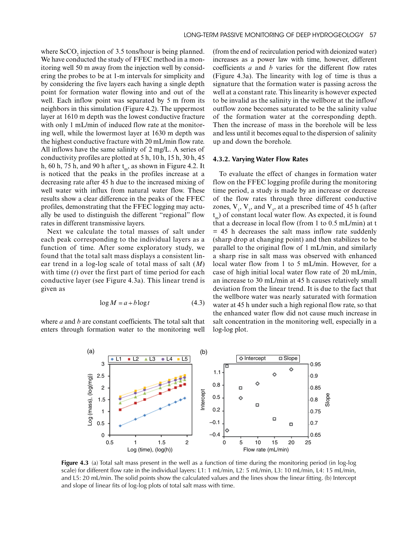where  $\text{ScCO}_2$  injection of 3.5 tons/hour is being planned. We have conducted the study of FFEC method in a monitoring well 50 m away from the injection well by considering the probes to be at 1‐m intervals for simplicity and by considering the five layers each having a single depth point for formation water flowing into and out of the well. Each inflow point was separated by 5 m from its neighbors in this simulation (Figure 4.2). The uppermost layer at 1610 m depth was the lowest conductive fracture with only 1 mL/min of induced flow rate at the monitoring well, while the lowermost layer at 1630 m depth was the highest conductive fracture with 20 mL/min flow rate. All inflows have the same salinity of 2 mg/L. A series of conductivity profiles are plotted at 5 h, 10 h, 15 h, 30 h, 45 h, 60 h, 75 h, and 90 h after  $t_m$ , as shown in Figure 4.2. It is noticed that the peaks in the profiles increase at a decreasing rate after 45 h due to the increased mixing of well water with influx from natural water flow. These results show a clear difference in the peaks of the FFEC profiles, demonstrating that the FFEC logging may actually be used to distinguish the different "regional" flow rates in different transmissive layers.

Next we calculate the total masses of salt under each peak corresponding to the individual layers as a function of time. After some exploratory study, we found that the total salt mass displays a consistent linear trend in a log‐log scale of total mass of salt (*M*) with time (*t*) over the first part of time period for each conductive layer (see Figure 4.3a). This linear trend is given as

$$
\log M = a + b \log t \tag{4.3}
$$

where *a* and *b* are constant coefficients. The total salt that enters through formation water to the monitoring well (from the end of recirculation period with deionized water) increases as a power law with time, however, different coefficients *a* and *b* varies for the different flow rates (Figure 4.3a). The linearity with log of time is thus a signature that the formation water is passing across the well at a constant rate. This linearity is however expected to be invalid as the salinity in the wellbore at the inflow/ outflow zone becomes saturated to be the salinity value of the formation water at the corresponding depth. Then the increase of mass in the borehole will be less and less until it becomes equal to the dispersion of salinity up and down the borehole.

#### **4.3.2. Varying Water Flow Rates**

To evaluate the effect of changes in formation water flow on the FFEC logging profile during the monitoring time period, a study is made by an increase or decrease of the flow rates through three different conductive zones,  $V_1$ ,  $V_3$ , and  $V_5$ , at a prescribed time of 45 h (after  $t_m$ ) of constant local water flow. As expected, it is found that a decrease in local flow (from 1 to 0.5 mL/min) at t  $= 45$  h decreases the salt mass inflow rate suddenly (sharp drop at changing point) and then stabilizes to be parallel to the original flow of 1 mL/min, and similarly a sharp rise in salt mass was observed with enhanced local water flow from 1 to 5 mL/min. However, for a case of high initial local water flow rate of 20 mL/min, an increase to 30 mL/min at 45 h causes relatively small deviation from the linear trend. It is due to the fact that the wellbore water was nearly saturated with formation water at 45 h under such a high regional flow rate, so that the enhanced water flow did not cause much increase in salt concentration in the monitoring well, especially in a log‐log plot.



**Figure 4.3** (a) Total salt mass present in the well as a function of time during the monitoring period (in log-log scale) for different flow rate in the individual layers: L1: 1 mL/min, L2: 5 mL/min, L3: 10 mL/min, L4: 15 mL/min, and L5: 20 mL/min. The solid points show the calculated values and the lines show the linear fitting. (b) Intercept and slope of linear fits of log‐log plots of total salt mass with time.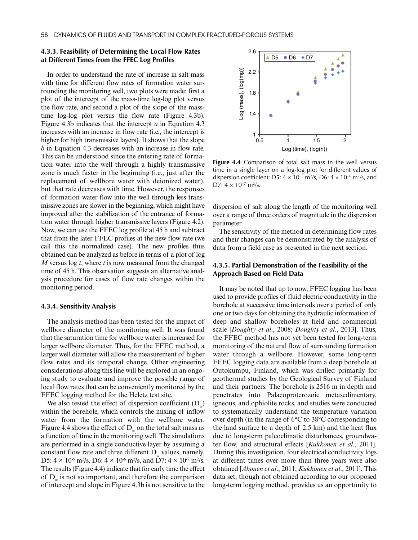## **4.3.3. Feasibility of Determining the Local Flow Rates at Different Times from the FFEC Log Profiles**

In order to understand the rate of increase in salt mass with time for different flow rates of formation water surrounding the monitoring well, two plots were made: first a plot of the intercept of the mass‐time log‐log plot versus the flow rate, and second a plot of the slope of the masstime log-log plot versus the flow rate (Figure 4.3b). Figure 4.3b indicates that the intercept *a* in Equation 4.3 increases with an increase in flow rate (i.e., the intercept is higher for high transmissive layers). It shows that the slope *b* in Equation 4.3 decreases with an increase in flow rate. This can be understood since the entering rate of formation water into the well through a highly transmissive zone is much faster in the beginning (i.e., just after the replacement of wellbore water with deionized water), but that rate decreases with time. However, the responses of formation water flow into the well through less transmissive zones are slower in the beginning, which might have improved after the stabilization of the entrance of formation water through higher transmissive layers (Figure 4.2). Now, we can use the FFEC log profile at 45 h and subtract that from the later FFEC profiles at the new flow rate (we call this the normalized case). The new profiles thus obtained can be analyzed as before in terms of a plot of log *M* versus log *t*, where *t* is now measured from the changed time of 45 h. This observation suggests an alternative analysis procedure for cases of flow rate changes within the monitoring period.

### **4.3.4. Sensitivity Analysis**

The analysis method has been tested for the impact of wellbore diameter of the monitoring well. It was found that the saturation time for wellbore water is increased for larger wellbore diameter. Thus, for the FFEC method, a larger well diameter will allow the measurement of higher flow rates and its temporal change. Other engineering considerations along this line will be explored in an ongoing study to evaluate and improve the possible range of local flow rates that can be conveniently monitored by the FFEC logging method for the Heletz test site.

We also tested the effect of dispersion coefficient  $(D<sub>w</sub>)$ within the borehole, which controls the mixing of inflow water from the formation with the wellbore water. Figure 4.4 shows the effect of  $D_w$  on the total salt mass as a function of time in the monitoring well. The simulations are performed in a single conductive layer by assuming a constant flow rate and three different  $D_{\mu}$  values, namely, D5:  $4 \times 10^{-5}$  m<sup>2</sup>/s, D6:  $4 \times 10^{-6}$  m<sup>2</sup>/s, and D7:  $4 \times 10^{-7}$  m<sup>2</sup>/s. The results (Figure 4.4) indicate that for early time the effect of  $D_{\mu}$  is not so important, and therefore the comparison of intercept and slope in Figure 4.3b is not sensitive to the



**Figure 4.4** Comparison of total salt mass in the well versus time in a single layer on a log‐log plot for different values of dispersion coefficient: D5:  $4 \times 10^{-5}$  m<sup>2</sup>/s, D6:  $4 \times 10^{-6}$  m<sup>2</sup>/s, and D7:  $4 \times 10^{-7}$  m<sup>2</sup>/s.

dispersion of salt along the length of the monitoring well over a range of three orders of magnitude in the dispersion parameter.

The sensitivity of the method in determining flow rates and their changes can be demonstrated by the analysis of data from a field case as presented in the next section.

# **4.3.5. Partial Demonstration of the Feasibility of the Approach Based on Field Data**

It may be noted that up to now, FFEC logging has been used to provide profiles of fluid electric conductivity in the borehole at successive time intervals over a period of only one or two days for obtaining the hydraulic information of deep and shallow boreholes at field and commercial scale [*Doughty et al*., 2008; *Doughty et al*., 2013]. Thus, the FFEC method has not yet been tested for long‐term monitoring of the natural flow of surrounding formation water through a wellbore. However, some long-term FFEC logging data are available from a deep borehole at Outokumpu, Finland, which was drilled primarily for geothermal studies by the Geological Survey of Finland and their partners. The borehole is 2516 m in depth and penetrates into Palaeoproterozoic metasedimentary, igneous, and ophiolite rocks, and studies were conducted to systematically understand the temperature variation over depth (in the range of 6°C to 38°C corresponding to the land surface to a depth of 2.5 km) and the heat flux due to long‐term paleoclimatic disturbances, groundwater flow, and structural effects [*Kukkonen et al*., 2011]. During this investigation, four electrical conductivity logs at different times over more than three years were also obtained [*Ahonen et al*., 2011; *Kukkonen et al*., 2011]. This data set, though not obtained according to our proposed long‐term logging method, provides us an opportunity to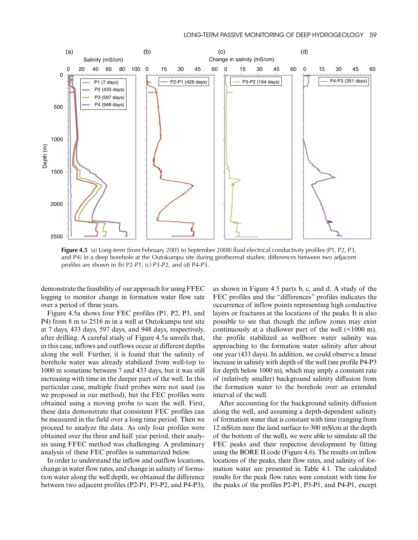

**Figure 4.5** (a) Long-term (from February 2005 to September 2008) fluid electrical conductivity profiles (P1, P2, P3, and P4) in a deep borehole at the Outokumpu site during geothermal studies; differences between two adjacent profiles are shown in (b) P2‐P1, (c) P3‐P2, and (d) P4‐P3.

demonstrate the feasibility of our approach for using FFEC logging to monitor change in formation water flow rate over a period of three years.

Figure 4.5a shows four FEC profiles (P1, P2, P3, and P4) from 8 m to 2516 m in a well at Outokumpu test site at 7 days, 433 days, 597 days, and 948 days, respectively, after drilling. A careful study of Figure 4.5a unveils that, in this case, inflows and outflows occur at different depths along the well. Further, it is found that the salinity of borehole water was already stabilized from well‐top to 1000 m sometime between 7 and 433 days, but it was still increasing with time in the deeper part of the well. In this particular case, multiple fixed probes were not used (as we proposed in our method), but the FEC profiles were obtained using a moving probe to scan the well. First, these data demonstrate that consistent FEC profiles can be measured in the field over a long time period. Then we proceed to analyze the data. As only four profiles were obtained over the three and half year period, their analysis using FFEC method was challenging. A preliminary analysis of these FEC profiles is summarized below.

In order to understand the inflow and outflow locations, change in water flow rates, and change in salinity of formation water along the well depth, we obtained the difference between two adjacent profiles (P2‐P1, P3‐P2, and P4‐P3),

as shown in Figure 4.5 parts b, c, and d. A study of the FEC profiles and the "differences" profiles indicates the occurrence of inflow points representing high conductive layers or fractures at the locations of the peaks. It is also possible to see that though the inflow zones may exist continuously at a shallower part of the well (<1000 m), the profile stabilized as wellbore water salinity was approaching to the formation water salinity after about one year (433 days). In addition, we could observe a linear increase in salinity with depth of the well (see profile P4‐P3 for depth below 1000 m), which may imply a constant rate of (relatively smaller) background salinity diffusion from the formation water to the borehole over an extended interval of the well.

After accounting for the background salinity diffusion along the well, and assuming a depth‐dependent salinity of formation water that is constant with time (ranging from 12 mS/cm near the land surface to 300 mS/cm at the depth of the bottom of the well), we were able to simulate all the FEC peaks and their respective development by fitting using the BORE II code (Figure 4.6). The results on inflow locations of the peaks, their flow rates, and salinity of formation water are presented in Table 4.1. The calculated results for the peak flow rates were constant with time for the peaks of the profiles P2‐P1, P3‐P1, and P4‐P1, except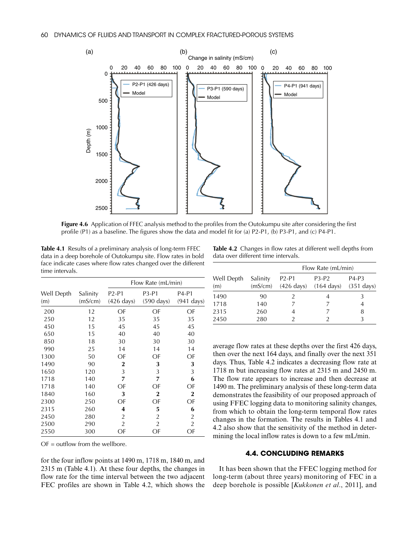

**Figure 4.6** Application of FFEC analysis method to the profiles from the Outokumpu site after considering the first profile (P1) as a baseline. The figures show the data and model fit for (a) P2‐P1, (b) P3‐P1, and (c) P4‐P1.

Table 4.1 Results of a preliminary analysis of long-term FFEC data in a deep borehole of Outokumpu site. Flow rates in bold face indicate cases where flow rates changed over the different time intervals.

|            |          | Flow Rate (mL/min)   |                      |                      |  |
|------------|----------|----------------------|----------------------|----------------------|--|
| Well Depth | Salinity | P2-P1                | P3-P1                | P4-P1                |  |
| (m)        | (mS/cm)  | $(426 \text{ days})$ | $(590 \text{ days})$ | $(941 \text{ days})$ |  |
| 200        | 12       | OF                   | OF                   | OF                   |  |
| 250        | 12       | 35                   | 35                   | 35                   |  |
| 450        | 15       | 45                   | 45                   | 45                   |  |
| 650        | 15       | 40                   | 40                   | 40                   |  |
| 850        | 18       | 30                   | 30                   | 30                   |  |
| 990        | 25       | 14                   | 14                   | 14                   |  |
| 1300       | 50       | OF                   | OF                   | OF                   |  |
| 1490       | 90       | 2                    | 3                    | 3                    |  |
| 1650       | 120      | 3                    | 3                    | 3                    |  |
| 1718       | 140      | 7                    | 7                    | 6                    |  |
| 1718       | 140      | OF                   | OF                   | OF                   |  |
| 1840       | 160      | 3                    | $\mathbf 2$          | $\bf{2}$             |  |
| 2300       | 250      | OF                   | OF                   | OF                   |  |
| 2315       | 260      | 4                    | 5                    | 6                    |  |
| 2450       | 280      | 2                    | 2                    | 2                    |  |
| 2500       | 290      | 2                    | 2                    | 2                    |  |
| 2550       | 300      | OF                   | OF                   | OF                   |  |

OF = outflow from the wellbore.

for the four inflow points at 1490 m, 1718 m, 1840 m, and 2315 m (Table 4.1). At these four depths, the changes in flow rate for the time interval between the two adjacent FEC profiles are shown in Table 4.2, which shows the

**Table 4.2** Changes in flow rates at different well depths from data over different time intervals.

| Well Depth<br>(m) | Salinity<br>(mS/cm) | Flow Rate (mL/min)              |                                                        |                               |
|-------------------|---------------------|---------------------------------|--------------------------------------------------------|-------------------------------|
|                   |                     | $P2-P1$<br>$(426 \text{ days})$ | P <sub>3</sub> -P <sub>2</sub><br>$(164 \text{ days})$ | P4-P3<br>$(351 \text{ days})$ |
| 1490              | 90                  |                                 | 4                                                      | 3                             |
| 1718              | 140                 |                                 |                                                        | 4                             |
| 2315              | 260                 |                                 |                                                        | 8                             |
| 2450              | 280                 |                                 |                                                        | 3                             |

average flow rates at these depths over the first 426 days, then over the next 164 days, and finally over the next 351 days. Thus, Table 4.2 indicates a decreasing flow rate at 1718 m but increasing flow rates at 2315 m and 2450 m. The flow rate appears to increase and then decrease at 1490 m. The preliminary analysis of these long‐term data demonstrates the feasibility of our proposed approach of using FFEC logging data to monitoring salinity changes, from which to obtain the long-term temporal flow rates changes in the formation. The results in Tables 4.1 and 4.2 also show that the sensitivity of the method in determining the local inflow rates is down to a few mL/min.

## **4.4. Concluding Remarks**

It has been shown that the FFEC logging method for long‐term (about three years) monitoring of FEC in a deep borehole is possible [*Kukkonen et al*., 2011], and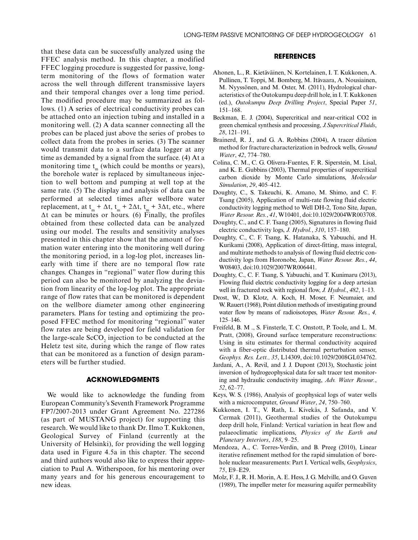that these data can be successfully analyzed using the FFEC analysis method. In this chapter, a modified FFEC logging procedure is suggested for passive, longterm monitoring of the flows of formation water across the well through different transmissive layers and their temporal changes over a long time period. The modified procedure may be summarized as follows. (1) A series of electrical conductivity probes can be attached onto an injection tubing and installed in a monitoring well. (2) A data scanner connecting all the probes can be placed just above the series of probes to collect data from the probes in series. (3) The scanner would transmit data to a surface data logger at any time as demanded by a signal from the surface. (4) At a monitoring time  $t_m$  (which could be months or years), the borehole water is replaced by simultaneous injection to well bottom and pumping at well top at the same rate. (5) The display and analysis of data can be performed at selected times after wellbore water replacement, at t<sub>m</sub> +  $\Delta t$ , t<sub>m</sub> + 2 $\Delta t$ , t<sub>m</sub> + 3 $\Delta t$ , etc., where ∆t can be minutes or hours. (6) Finally, the profiles obtained from these collected data can be analyzed using our model. The results and sensitivity analyses presented in this chapter show that the amount of formation water entering into the monitoring well during the monitoring period, in a log‐log plot, increases linearly with time if there are no temporal flow rate changes. Changes in "regional" water flow during this period can also be monitored by analyzing the deviation from linearity of the log‐log plot. The appropriate range of flow rates that can be monitored is dependent on the wellbore diameter among other engineering parameters. Plans for testing and optimizing the proposed FFEC method for monitoring "regional" water flow rates are being developed for field validation for the large-scale  $SCO<sub>2</sub>$  injection to be conducted at the Heletz test site, during which the range of flow rates that can be monitored as a function of design parameters will be further studied.

## **ACKNOWLEDGMENTS**

We would like to acknowledge the funding from European Community's Seventh Framework Programme FP7/2007‐2013 under Grant Agreement No. 227286 (as part of MUSTANG project) for supporting this research. We would like to thank Dr. Ilmo T. Kukkonen, Geological Survey of Finland (currently at the University of Helsinki), for providing the well logging data used in Figure 4.5a in this chapter. The second and third authors would also like to express their appreciation to Paul A. Witherspoon, for his mentoring over many years and for his generous encouragement to new ideas.

# **REFERENCES**

- Ahonen, L., R. Kietäväinen, N. Kortelainen, I. T. Kukkonen, A. Pullinen, T. Toppi, M. Bomberg, M. Itävaara, A. Nousiainen, M. Nyyssönen, and M. Oster, M. (2011), Hydrological characteristics of the Outokumpu deep drill hole, in I. T. Kukkonen (ed.), *Outokumpu Deep Drilling Project*, Special Paper *51*, 151–168.
- Beckman, E. J. (2004), Supercritical and near-critical CO2 in green chemical synthesis and processing, *J.Supercritical Fluids*, *28*, 121–191.
- Brainerd, R. J., and G. A. Robbins (2004), A tracer dilution method for fracture characterization in bedrock wells, *Ground Water*, *42*, 774–780.
- Colina, C. M., C. G. Olivera‐Fuentes, F. R. Siperstein, M. Lisal, and K. E. Gubbins (2003), Thermal properties of supercritical carbon dioxide by Monte Carlo simulations, *Molecular Simulation*, *29*, 405–412.
- Doughty, C., S. Takeuchi, K. Amano, M. Shimo, and C. F. Tsang (2005), Application of multi‐rate flowing fluid electric conductivity logging method to Well DH‐2, Tono Site, Japan, *Water Resour. Res.*, *41*, W10401, doi:10.1029/2004WR003708.
- Doughty, C., and C. F. Tsang (2005), Signatures in flowing fluid electric conductivity logs, *J. Hydrol.*, *310*, 157–180.
- Doughty, C., C. F. Tsang, K. Hatanaka, S. Yabuuchi, and H. Kurikami (2008), Application of direct‐fitting, mass integral, and multirate methods to analysis of flowing fluid electric conductivity logs from Horonobe, Japan, *Water Resour. Res.*, *44*, W08403, doi:10.1029/2007WR006441.
- Doughty, C., C. F. Tsang, S. Yabuuchi, and T. Kunimaru (2013), Flowing fluid electric conductivity logging for a deep artesian well in fractured rock with regional flow, *J. Hydrol*., *482*, 1–13.
- Drost, W., D. Klotz, A. Koch, H. Moser, F. Neumaier, and W. Rauert (1968), Point dilution methods of investigating ground water flow by means of radioisotopes, *Water Resour. Res.*, *4,* 125–146.
- Freifeld, B. M ., S. Finsterle, T. C. Onstott, P. Toole, and L. M. Pratt, (2008), Ground surface temperature reconstructions: Using in situ estimates for thermal conductivity acquired with a fiber-optic distributed thermal perturbation sensor, *Geophys. Res. Lett., 35*, L14309, doi:10.1029/2008GL034762.
- Jardani, A., A. Revil, and J. J. Dupont (2013), Stochastic joint inversion of hydrogeophysical data for salt tracer test monitoring and hydraulic conductivity imaging, *Adv. Water Resour.*, *52*, 62–77.
- Keys, W. S. (1986), Analysis of geophysical logs of water wells with a microcomputer, *Ground Water*, *24*, 750–760.
- Kukkonen, I. T., V. Rath, L. Kivekäs, J. Safanda, and V. Cermak (2011), Geothermal studies of the Outokumpu deep drill hole, Finland: Vertical variation in heat flow and palaeoclimatic implications, *Physics of the Earth and Planetary Interiors*, *188*, 9–25.
- Mendoza, A., C. Torres‐Verdin, and B. Preeg (2010), Linear iterative refinement method for the rapid simulation of borehole nuclear measurements: Part I. Vertical wells, *Geophysics*, *75*, E9–E29.
- Molz, F. J., R. H. Morin, A. E. Hess, J. G. Melville, and O. Guven (1989), The impeller meter for measuring aquifer permeability